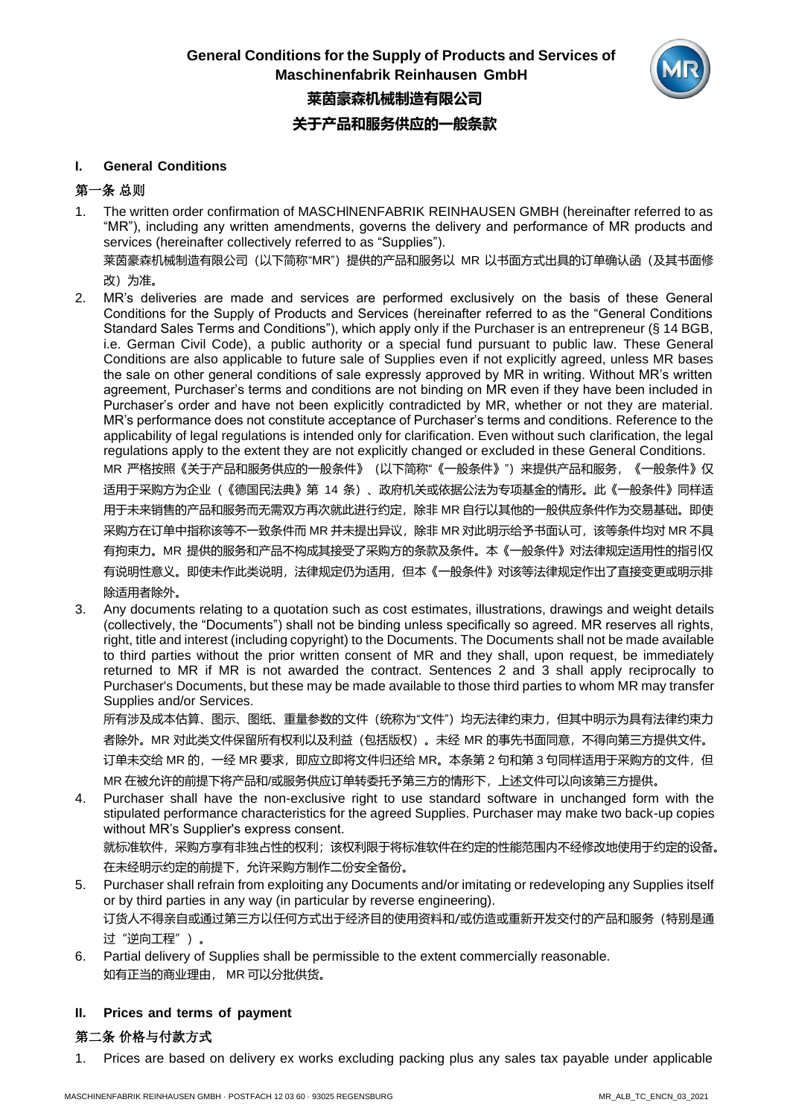

### **I. General Conditions**

# 第一条 总则

1. The written order confirmation of MASCHlNENFABRIK REINHAUSEN GMBH (hereinafter referred to as "MR"), including any written amendments, governs the delivery and performance of MR products and services (hereinafter collectively referred to as "Supplies"). 莱茵豪森机械制造有限公司(以下简称"MR")提供的产品和服务以 MR 以书面方式出具的订单确认函(及其书面修

改)为准。

2. MR's deliveries are made and services are performed exclusively on the basis of these General Conditions for the Supply of Products and Services (hereinafter referred to as the "General Conditions Standard Sales Terms and Conditions"), which apply only if the Purchaser is an entrepreneur (§ 14 BGB, i.e. German Civil Code), a public authority or a special fund pursuant to public law. These General Conditions are also applicable to future sale of Supplies even if not explicitly agreed, unless MR bases the sale on other general conditions of sale expressly approved by MR in writing. Without MR's written agreement, Purchaser's terms and conditions are not binding on MR even if they have been included in Purchaser's order and have not been explicitly contradicted by MR, whether or not they are material. MR's performance does not constitute acceptance of Purchaser's terms and conditions. Reference to the applicability of legal regulations is intended only for clarification. Even without such clarification, the legal regulations apply to the extent they are not explicitly changed or excluded in these General Conditions. MR 严格按照《关于产品和服务供应的一般条件》(以下简称"《一般条件》")来提供产品和服务,《一般条件》仅 适用于采购方为企业(《德国民法典》第 14 条)、政府机关或依据公法为专项基金的情形。此《一般条件》同样适 用于未来销售的产品和服务而无需双方再次就此进行约定,除非 MR 自行以其他的一般供应条件作为交易基础。即使 采购方在订单中指称该等不一致条件而 MR 并未提出异议,除非 MR 对此明示给予书面认可,该等条件均对 MR 不具

有拘束力。MR 提供的服务和产品不构成其接受了采购方的条款及条件。本《一般条件》对法律规定适用性的指引仅 有说明性意义。即使未作此类说明,法律规定仍为适用,但本《一般条件》对该等法律规定作出了直接变更或明示排 除适用者除外。

3. Any documents relating to a quotation such as cost estimates, illustrations, drawings and weight details (collectively, the "Documents") shall not be binding unless specifically so agreed. MR reserves all rights, right, title and interest (including copyright) to the Documents. The Documents shall not be made available to third parties without the prior written consent of MR and they shall, upon request, be immediately returned to MR if MR is not awarded the contract. Sentences 2 and 3 shall apply reciprocally to Purchaser's Documents, but these may be made available to those third parties to whom MR may transfer Supplies and/or Services.

所有涉及成本估算、图示、图纸、重量参数的文件(统称为"文件")均无法律约束力,但其中明示为具有法律约束力 者除外。MR 对此类文件保留所有权利以及利益(包括版权)。未经 MR 的事先书面同意,不得向第三方提供文件。 订单未交给 MR 的,一经 MR 要求,即应立即将文件归还给 MR。本条第 2 句和第 3 句同样适用于采购方的文件,但 MR 在被允许的前提下将产品和/或服务供应订单转委托予第三方的情形下,上述文件可以向该第三方提供。

4. Purchaser shall have the non-exclusive right to use standard software in unchanged form with the stipulated performance characteristics for the agreed Supplies. Purchaser may make two back-up copies without MR's Supplier's express consent. 就标准软件,采购方享有非独占性的权利;该权利限于将标准软件在约定的性能范围内不经修改地使用于约定的设备。

在未经明示约定的前提下,允许采购方制作二份安全备份。

- 5. Purchaser shall refrain from exploiting any Documents and/or imitating or redeveloping any Supplies itself or by third parties in any way (in particular by reverse engineering). 订货人不得亲自或通过第三方以任何方式出于经济目的使用资料和/或仿造或重新开发交付的产品和服务(特别是通 过"逆向工程")。
- 6. Partial delivery of Supplies shall be permissible to the extent commercially reasonable. 如有正当的商业理由, MR 可以分批供货。

# **II. Prices and terms of payment**

# 第二条 价格与付款方式

1. Prices are based on delivery ex works excluding packing plus any sales tax payable under applicable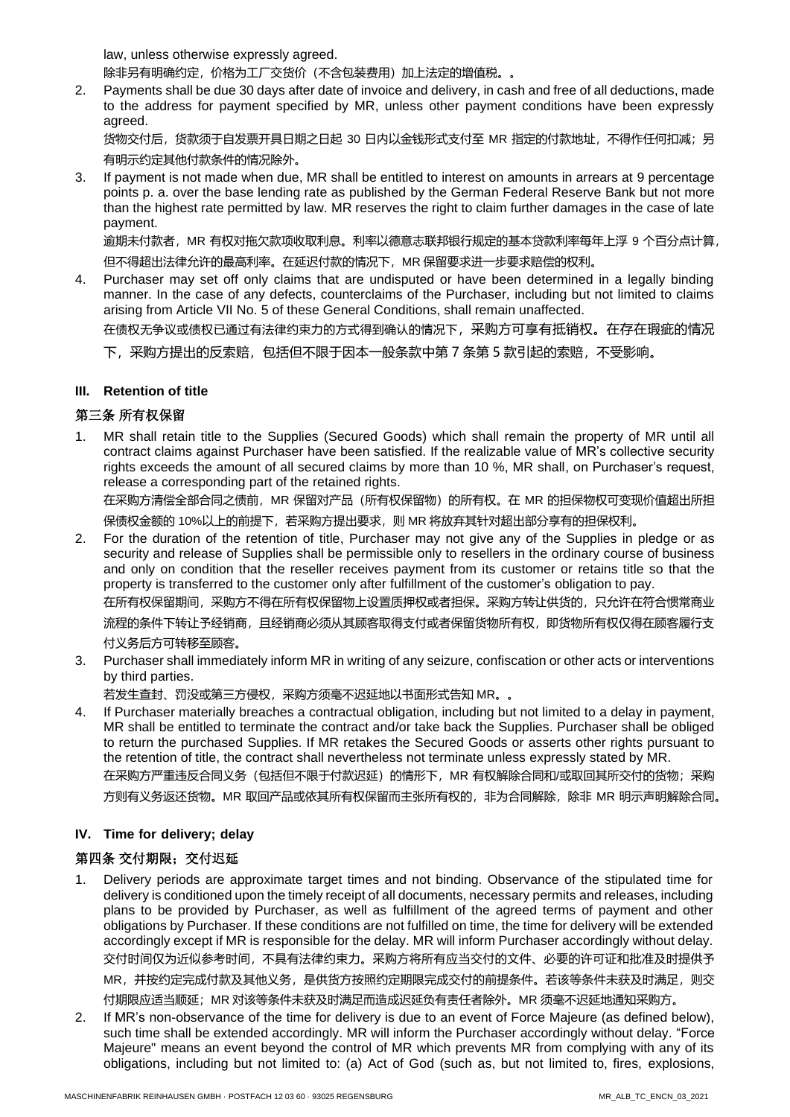law, unless otherwise expressly agreed.

除非另有明确约定,价格为工厂交货价(不含包装费用)加上法定的增值税。。

2. Payments shall be due 30 days after date of invoice and delivery, in cash and free of all deductions, made to the address for payment specified by MR, unless other payment conditions have been expressly agreed.

货物交付后,货款须于自发票开具日期之日起 30 日内以金钱形式支付至 MR 指定的付款地址,不得作任何扣减;另 有明示约定其他付款条件的情况除外。

3. If payment is not made when due, MR shall be entitled to interest on amounts in arrears at 9 percentage points p. a. over the base lending rate as published by the German Federal Reserve Bank but not more than the highest rate permitted by law. MR reserves the right to claim further damages in the case of late payment.

逾期未付款者,MR 有权对拖欠款项收取利息。利率以德意志联邦银行规定的基本贷款利率每年上浮 9 个百分点计算, 但不得超出法律允许的最高利率。在延迟付款的情况下, MR 保留要求进一步要求赔偿的权利。

4. Purchaser may set off only claims that are undisputed or have been determined in a legally binding manner. In the case of any defects, counterclaims of the Purchaser, including but not limited to claims arising from Article VII No. 5 of these General Conditions, shall remain unaffected.

在债权无争议或债权已通过有法律约束力的方式得到确认的情况下,采购方可享有抵销权。在存在瑕疵的情况

下,采购方提出的反索赔,包括但不限于因本一般条款中第 7 条第 5 款引起的索赔,不受影响。

### **III. Retention of title**

# 第三条 所有权保留

1. MR shall retain title to the Supplies (Secured Goods) which shall remain the property of MR until all contract claims against Purchaser have been satisfied. If the realizable value of MR's collective security rights exceeds the amount of all secured claims by more than 10 %, MR shall, on Purchaser's request, release a corresponding part of the retained rights.

在采购方清偿全部合同之债前,MR 保留对产品(所有权保留物)的所有权。在 MR 的担保物权可变现价值超出所担 保债权金额的 10%以上的前提下, 若采购方提出要求, 则 MR 将放弃其针对超出部分享有的担保权利。

2. For the duration of the retention of title, Purchaser may not give any of the Supplies in pledge or as security and release of Supplies shall be permissible only to resellers in the ordinary course of business and only on condition that the reseller receives payment from its customer or retains title so that the property is transferred to the customer only after fulfillment of the customer's obligation to pay. 在所有权保留期间,采购方不得在所有权保留物上设置质押权或者担保。采购方转让供货的,只允许在符合惯常商业 流程的条件下转让予经销商,且经销商必须从其顾客取得支付或者保留货物所有权,即货物所有权仅得在顾客履行支

付义务后方可转移至顾客。

3. Purchaser shall immediately inform MR in writing of any seizure, confiscation or other acts or interventions by third parties.

若发生查封、罚没或第三方侵权,采购方须毫不迟延地以书面形式告知 MR。。

4. If Purchaser materially breaches a contractual obligation, including but not limited to a delay in payment, MR shall be entitled to terminate the contract and/or take back the Supplies. Purchaser shall be obliged to return the purchased Supplies. If MR retakes the Secured Goods or asserts other rights pursuant to the retention of title, the contract shall nevertheless not terminate unless expressly stated by MR. 在采购方严重违反合同义务(包括但不限于付款迟延)的情形下,MR 有权解除合同和/或取回其所交付的货物;采购

方则有义务返还货物。MR 取回产品或依其所有权保留而主张所有权的,非为合同解除,除非 MR 明示声明解除合同。

## **IV. Time for delivery; delay**

# 第四条 交付期限;交付迟延

- 1. Delivery periods are approximate target times and not binding. Observance of the stipulated time for delivery is conditioned upon the timely receipt of all documents, necessary permits and releases, including plans to be provided by Purchaser, as well as fulfillment of the agreed terms of payment and other obligations by Purchaser. If these conditions are not fulfilled on time, the time for delivery will be extended accordingly except if MR is responsible for the delay. MR will inform Purchaser accordingly without delay. 交付时间仅为近似参考时间,不具有法律约束力。采购方将所有应当交付的文件、必要的许可证和批准及时提供予 MR,并按约定完成付款及其他义务,是供货方按照约定期限完成交付的前提条件。若该等条件未获及时满足,则交 付期限应适当顺延;MR 对该等条件未获及时满足而造成迟延负有责任者除外。MR 须毫不迟延地通知采购方。
- 2. If MR's non-observance of the time for delivery is due to an event of Force Majeure (as defined below), such time shall be extended accordingly. MR will inform the Purchaser accordingly without delay. "Force Majeure" means an event beyond the control of MR which prevents MR from complying with any of its obligations, including but not limited to: (a) Act of God (such as, but not limited to, fires, explosions,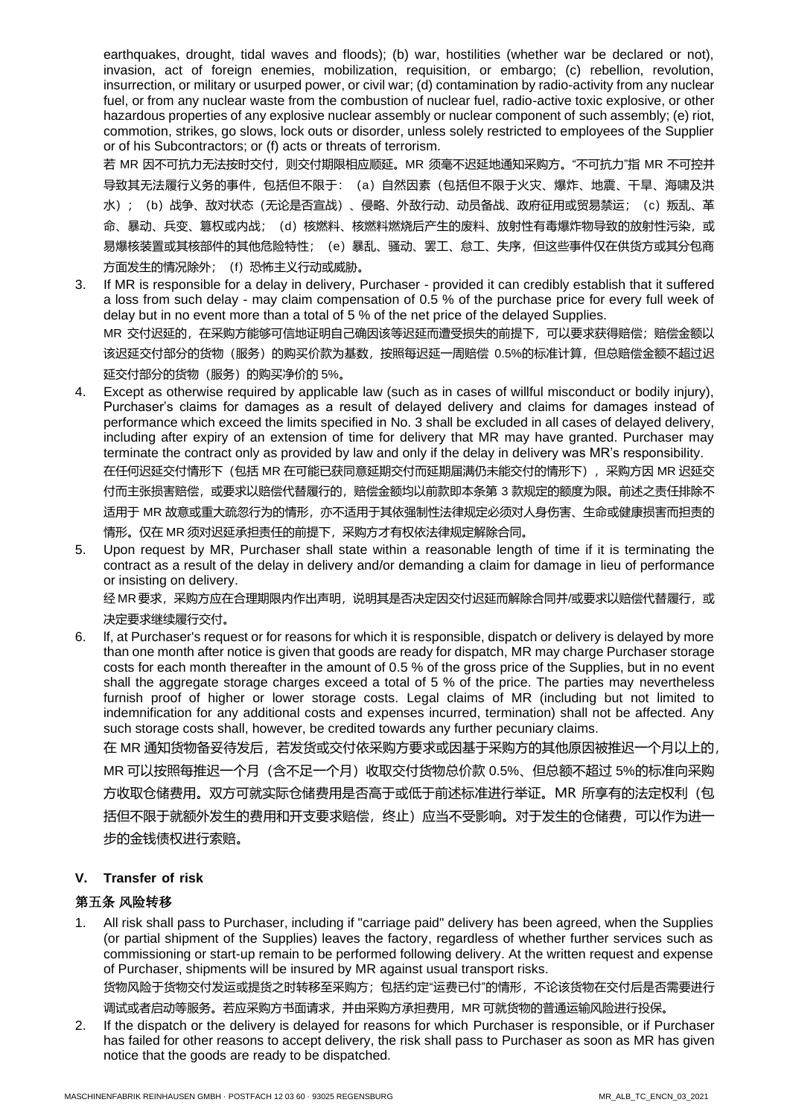earthquakes, drought, tidal waves and floods); (b) war, hostilities (whether war be declared or not), invasion, act of foreign enemies, mobilization, requisition, or embargo; (c) rebellion, revolution, insurrection, or military or usurped power, or civil war; (d) contamination by radio-activity from any nuclear fuel, or from any nuclear waste from the combustion of nuclear fuel, radio-active toxic explosive, or other hazardous properties of any explosive nuclear assembly or nuclear component of such assembly; (e) riot, commotion, strikes, go slows, lock outs or disorder, unless solely restricted to employees of the Supplier or of his Subcontractors; or (f) acts or threats of terrorism.

若 MR 因不可抗力无法按时交付,则交付期限相应顺延。MR 须毫不迟延地通知采购方。"不可抗力"指 MR 不可控并 导致其无法履行义务的事件,包括但不限于:(a)自然因素(包括但不限于火灾、爆炸、地震、干旱、海啸及洪 水); (b)战争、敌对状态(无论是否宣战)、侵略、外敌行动、动员备战、政府征用或贸易禁运; (c)叛乱、革 命、暴动、兵变、篡权或内战;(d)核燃料、核燃料燃烧后产生的废料、放射性有毒爆炸物导致的放射性污染,或 易爆核装置或其核部件的其他危险特性;(e)暴乱、骚动、罢工、怠工、失序,但这些事件仅在供货方或其分包商 方面发生的情况除外; (f) 恐怖主义行动或威胁。

- 3. If MR is responsible for a delay in delivery, Purchaser provided it can credibly establish that it suffered a loss from such delay - may claim compensation of 0.5 % of the purchase price for every full week of delay but in no event more than a total of 5 % of the net price of the delayed Supplies. MR 交付迟延的,在采购方能够可信地证明自己确因该等迟延而遭受损失的前提下,可以要求获得赔偿;赔偿金额以 该迟延交付部分的货物(服务)的购买价款为基数,按照每迟延一周赔偿 0.5%的标准计算,但总赔偿金额不超过迟 延交付部分的货物(服务)的购买净价的 5%。
- Except as otherwise required by applicable law (such as in cases of willful misconduct or bodily injury), Purchaser's claims for damages as a result of delayed delivery and claims for damages instead of performance which exceed the limits specified in No. 3 shall be excluded in all cases of delayed delivery, including after expiry of an extension of time for delivery that MR may have granted. Purchaser may terminate the contract only as provided by law and only if the delay in delivery was MR's responsibility. 在任何迟延交付情形下(包括 MR 在可能已获同意延期交付而延期届满仍未能交付的情形下),采购方因 MR 迟延交 付而主张损害赔偿,或要求以赔偿代替履行的,赔偿金额均以前款即本条第 3 款规定的额度为限。前述之责任排除不 适用于 MR 故意或重大疏忽行为的情形, 亦不适用于其依强制性法律规定必须对人身伤害、生命或健康损害而担责的 情形。仅在 MR 须对迟延承担责任的前提下,采购方才有权依法律规定解除合同。
- 5. Upon request by MR, Purchaser shall state within a reasonable length of time if it is terminating the contract as a result of the delay in delivery and/or demanding a claim for damage in lieu of performance or insisting on delivery.

经 MR 要求,采购方应在合理期限内作出声明,说明其是否决定因交付迟延而解除合同并/或要求以赔偿代替履行,或 决定要求继续履行交付。

6. lf, at Purchaser's request or for reasons for which it is responsible, dispatch or delivery is delayed by more than one month after notice is given that goods are ready for dispatch, MR may charge Purchaser storage costs for each month thereafter in the amount of 0.5 % of the gross price of the Supplies, but in no event shall the aggregate storage charges exceed a total of 5 % of the price. The parties may nevertheless furnish proof of higher or lower storage costs. Legal claims of MR (including but not limited to indemnification for any additional costs and expenses incurred, termination) shall not be affected. Any such storage costs shall, however, be credited towards any further pecuniary claims.

在 MR 通知货物备妥待发后,若发货或交付依采购方要求或因基于采购方的其他原因被推迟一个月以上的, MR 可以按照每推迟一个月(含不足一个月)收取交付货物总价款 0.5%、但总额不超过 5%的标准向采购 方收取仓储费用。双方可就实际仓储费用是否高于或低于前述标准进行举证。MR 所享有的法定权利(包 括但不限于就额外发生的费用和开支要求赔偿,终止)应当不受影响。对于发生的仓储费,可以作为进一 步的金钱债权进行索赔。

### **V. Transfer of risk**

# 第五条 风险转移

1. All risk shall pass to Purchaser, including if "carriage paid" delivery has been agreed, when the Supplies (or partial shipment of the Supplies) leaves the factory, regardless of whether further services such as commissioning or start-up remain to be performed following delivery. At the written request and expense of Purchaser, shipments will be insured by MR against usual transport risks. 货物风险于货物交付发运或提货之时转移至采购方;包括约定"运费已付"的情形,不论该货物在交付后是否需要进行

调试或者启动等服务。若应采购方书面请求,并由采购方承担费用,MR 可就货物的普通运输风险进行投保。

2. If the dispatch or the delivery is delayed for reasons for which Purchaser is responsible, or if Purchaser has failed for other reasons to accept delivery, the risk shall pass to Purchaser as soon as MR has given notice that the goods are ready to be dispatched.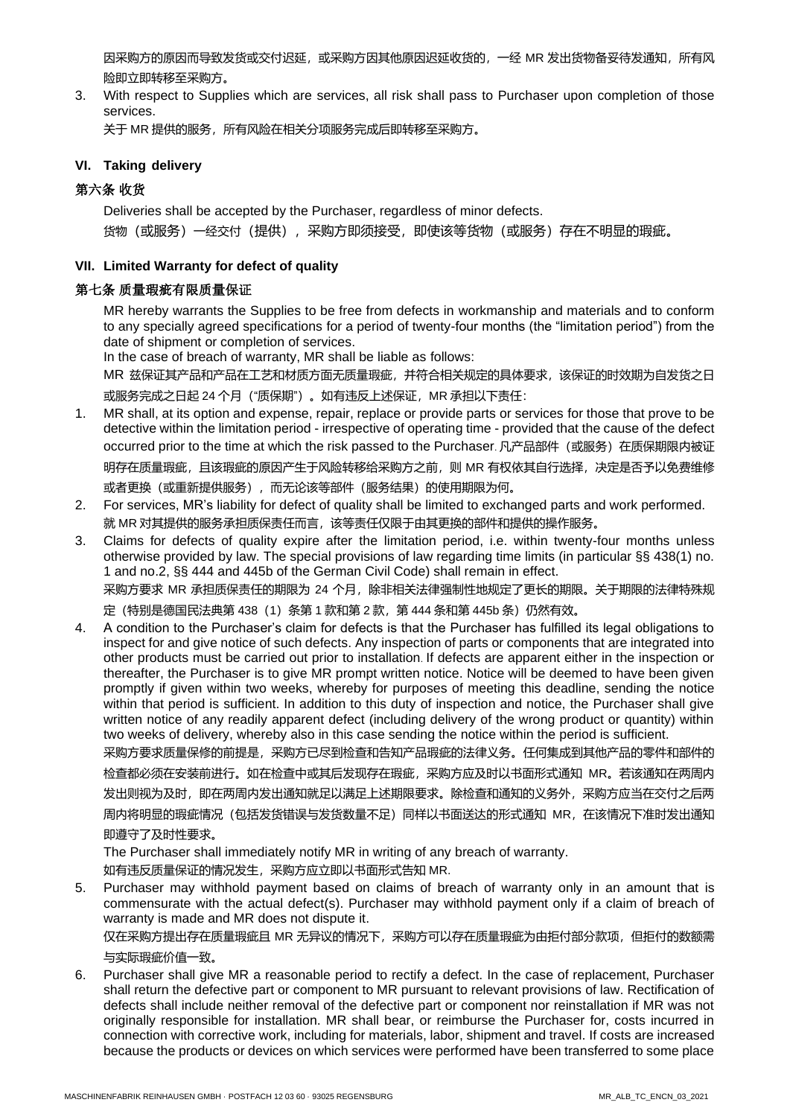因采购方的原因而导致发货或交付迟延,或采购方因其他原因迟延收货的,一经 MR 发出货物备妥待发通知,所有风 险即立即转移至采购方。

3. With respect to Supplies which are services, all risk shall pass to Purchaser upon completion of those services.

关于 MR 提供的服务,所有风险在相关分项服务完成后即转移至采购方。

### **VI. Taking delivery**

### 第六条 收货

Deliveries shall be accepted by the Purchaser, regardless of minor defects. 货物(或服务)一经交付(提供),采购方即须接受,即使该等货物(或服务)存在不明显的瑕疵。

#### **VII. Limited Warranty for defect of quality**

### 第七条 质量瑕疵有限质量保证

MR hereby warrants the Supplies to be free from defects in workmanship and materials and to conform to any specially agreed specifications for a period of twenty-four months (the "limitation period") from the date of shipment or completion of services.

In the case of breach of warranty, MR shall be liable as follows: MR 兹保证其产品和产品在工艺和材质方面无质量瑕疵,并符合相关规定的具体要求,该保证的时效期为自发货之日

或服务完成之日起 24 个月 ("质保期") 。如有违反上述保证, MR 承担以下责任:

- 1. MR shall, at its option and expense, repair, replace or provide parts or services for those that prove to be detective within the limitation period - irrespective of operating time - provided that the cause of the defect occurred prior to the time at which the risk passed to the Purchaser. 凡产品部件(或服务)在质保期限内被证 明存在质量瑕疵,且该瑕疵的原因产生于风险转移给采购方之前,则 MR 有权依其自行选择,决定是否予以免费维修 或者更换(或重新提供服务),而无论该等部件(服务结果)的使用期限为何。
- 2. For services, MR's liability for defect of quality shall be limited to exchanged parts and work performed. 就 MR 对其提供的服务承担质保责任而言,该等责任仅限于由其更换的部件和提供的操作服务。
- 3. Claims for defects of quality expire after the limitation period, i.e. within twenty-four months unless otherwise provided by law. The special provisions of law regarding time limits (in particular §§ 438(1) no. 1 and no.2, §§ 444 and 445b of the German Civil Code) shall remain in effect. 采购方要求 MR 承担质保责任的期限为 24 个月, 除非相关法律强制性地规定了更长的期限。关于期限的法律特殊规

定 (特别是德国民法典第 438 (1) 条第 1 款和第 2 款, 第 444 条和第 445b 条) 仍然有效。

4. A condition to the Purchaser's claim for defects is that the Purchaser has fulfilled its legal obligations to inspect for and give notice of such defects. Any inspection of parts or components that are integrated into other products must be carried out prior to installation. If defects are apparent either in the inspection or thereafter, the Purchaser is to give MR prompt written notice. Notice will be deemed to have been given promptly if given within two weeks, whereby for purposes of meeting this deadline, sending the notice within that period is sufficient. In addition to this duty of inspection and notice, the Purchaser shall give written notice of any readily apparent defect (including delivery of the wrong product or quantity) within two weeks of delivery, whereby also in this case sending the notice within the period is sufficient.

采购方要求质量保修的前提是,采购方已尽到检查和告知产品瑕疵的法律义务。任何集成到其他产品的零件和部件的 检查都必须在安装前进行。如在检查中或其后发现存在瑕疵,采购方应及时以书面形式通知 MR。若该通知在两周内 发出则视为及时,即在两周内发出通知就足以满足上述期限要求。除检查和通知的义务外,采购方应当在交付之后两 周内将明显的瑕疵情况(包括发货错误与发货数量不足)同样以书面送达的形式通知 MR,在该情况下准时发出通知 即遵守了及时性要求。

The Purchaser shall immediately notify MR in writing of any breach of warranty.

如有违反质量保证的情况发生,采购方应立即以书面形式告知 MR.

5. Purchaser may withhold payment based on claims of breach of warranty only in an amount that is commensurate with the actual defect(s). Purchaser may withhold payment only if a claim of breach of warranty is made and MR does not dispute it.

仅在采购方提出存在质量瑕疵且 MR 无异议的情况下, 采购方可以存在质量瑕疵为由拒付部分款项, 但拒付的数额需 与实际瑕疵价值一致。

6. Purchaser shall give MR a reasonable period to rectify a defect. In the case of replacement, Purchaser shall return the defective part or component to MR pursuant to relevant provisions of law. Rectification of defects shall include neither removal of the defective part or component nor reinstallation if MR was not originally responsible for installation. MR shall bear, or reimburse the Purchaser for, costs incurred in connection with corrective work, including for materials, labor, shipment and travel. If costs are increased because the products or devices on which services were performed have been transferred to some place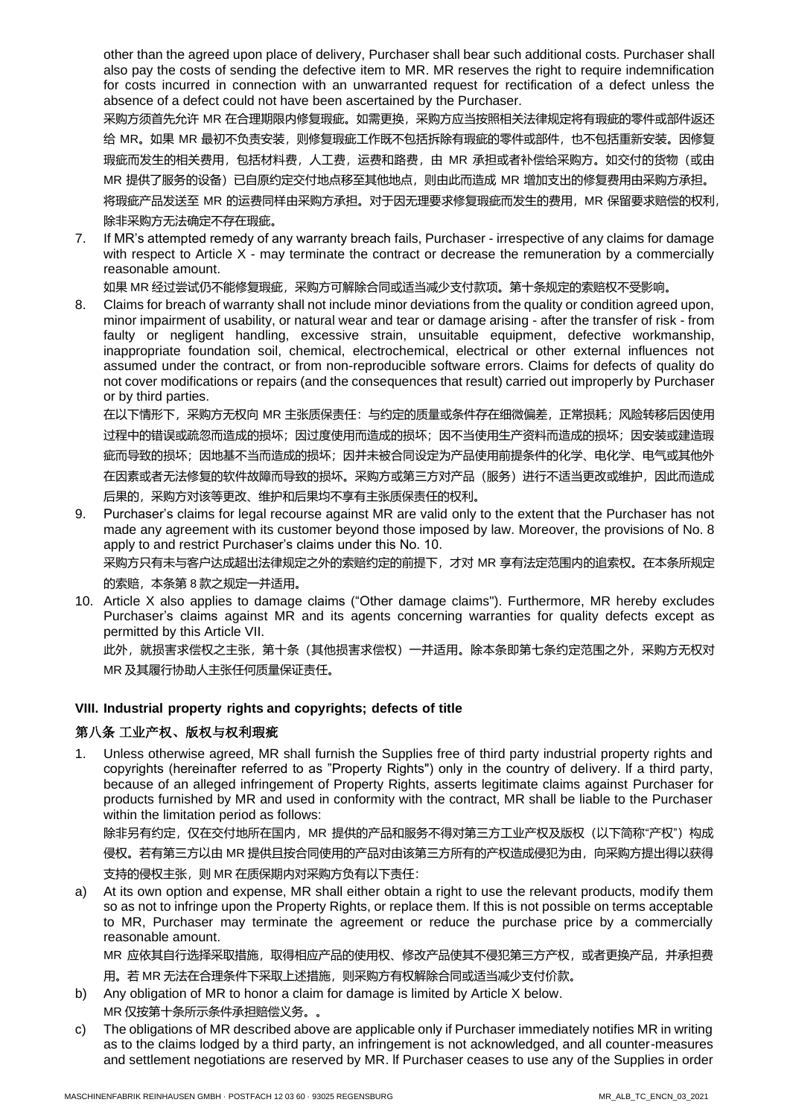other than the agreed upon place of delivery, Purchaser shall bear such additional costs. Purchaser shall also pay the costs of sending the defective item to MR. MR reserves the right to require indemnification for costs incurred in connection with an unwarranted request for rectification of a defect unless the absence of a defect could not have been ascertained by the Purchaser.

采购方须首先允许 MR 在合理期限内修复瑕疵。如需更换,采购方应当按照相关法律规定将有瑕疵的零件或部件返还 给 MR。如果 MR 最初不负责安装,则修复瑕疵工作既不包括拆除有瑕疵的零件或部件,也不包括重新安装。因修复 瑕疵而发生的相关费用,包括材料费, 人工费, 运费和路费, 由 MR 承担或者补偿给采购方。如交付的货物 (或由 MR 提供了服务的设备)已自原约定交付地点移至其他地点,则由此而造成 MR 增加支出的修复费用由采购方承担。 将瑕疵产品发送至 MR 的运费同样由采购方承担。对于因无理要求修复瑕疵而发生的费用,MR 保留要求赔偿的权利,

除非采购方无法确定不存在瑕疵。

7. If MR's attempted remedy of any warranty breach fails, Purchaser - irrespective of any claims for damage with respect to Article X - may terminate the contract or decrease the remuneration by a commercially reasonable amount.

如果 MR 经过尝试仍不能修复瑕疵,采购方可解除合同或适当减少支付款项。第十条规定的索赔权不受影响。

8. Claims for breach of warranty shall not include minor deviations from the quality or condition agreed upon, minor impairment of usability, or natural wear and tear or damage arising - after the transfer of risk - from faulty or negligent handling, excessive strain, unsuitable equipment, defective workmanship, inappropriate foundation soil, chemical, electrochemical, electrical or other external influences not assumed under the contract, or from non-reproducible software errors. Claims for defects of quality do not cover modifications or repairs (and the consequences that result) carried out improperly by Purchaser or by third parties.

在以下情形下,采购方无权向 MR 主张质保责任:与约定的质量或条件存在细微偏差,正常损耗;风险转移后因使用 过程中的错误或疏忽而造成的损坏;因过度使用而造成的损坏;因不当使用生产资料而造成的损坏;因安装或建造瑕 疵而导致的损坏;因地基不当而造成的损坏;因并未被合同设定为产品使用前提条件的化学、电化学、电气或其他外 在因素或者无法修复的软件故障而导致的损坏。采购方或第三方对产品(服务)进行不适当更改或维护,因此而造成 后果的,采购方对该等更改、维护和后果均不享有主张质保责任的权利。

9. Purchaser's claims for legal recourse against MR are valid only to the extent that the Purchaser has not made any agreement with its customer beyond those imposed by law. Moreover, the provisions of No. 8 apply to and restrict Purchaser's claims under this No. 10. 采购方只有未与客户达成超出法律规定之外的索赔约定的前提下,才对 MR 享有法定范围内的追索权。在本条所规定

的索赔,本条第 8 款之规定一并适用。

10. Article X also applies to damage claims ("Other damage claims"). Furthermore, MR hereby excludes Purchaser's claims against MR and its agents concerning warranties for quality defects except as permitted by this Article VII.

此外,就损害求偿权之主张,第十条(其他损害求偿权)一并适用。除本条即第七条约定范围之外,采购方无权对 MR 及其履行协助人主张任何质量保证责任。

### **VIII. Industrial property rights and copyrights; defects of title**

# 第八条 工业产权、版权与权利瑕疵

1. Unless otherwise agreed, MR shall furnish the Supplies free of third party industrial property rights and copyrights (hereinafter referred to as "Property Rights") only in the country of delivery. lf a third party, because of an alleged infringement of Property Rights, asserts legitimate claims against Purchaser for products furnished by MR and used in conformity with the contract, MR shall be liable to the Purchaser within the limitation period as follows:

除非另有约定,仅在交付地所在国内,MR 提供的产品和服务不得对第三方工业产权及版权 (以下简称"产权") 构成 侵权。若有第三方以由 MR 提供且按合同使用的产品对由该第三方所有的产权造成侵犯为由,向采购方提出得以获得 支持的侵权主张,则 MR 在质保期内对采购方负有以下责任:

a) At its own option and expense, MR shall either obtain a right to use the relevant products, modify them so as not to infringe upon the Property Rights, or replace them. lf this is not possible on terms acceptable to MR, Purchaser may terminate the agreement or reduce the purchase price by a commercially reasonable amount.

MR 应依其自行选择采取措施,取得相应产品的使用权、修改产品使其不侵犯第三方产权,或者更换产品,并承担费 用。若 MR 无法在合理条件下采取上述措施,则采购方有权解除合同或适当减少支付价款。

- b) Any obligation of MR to honor a claim for damage is limited by Article X below. MR 仅按第十条所示条件承担赔偿义务。。
- c) The obligations of MR described above are applicable only if Purchaser immediately notifies MR in writing as to the claims lodged by a third party, an infringement is not acknowledged, and all counter-measures and settlement negotiations are reserved by MR. lf Purchaser ceases to use any of the Supplies in order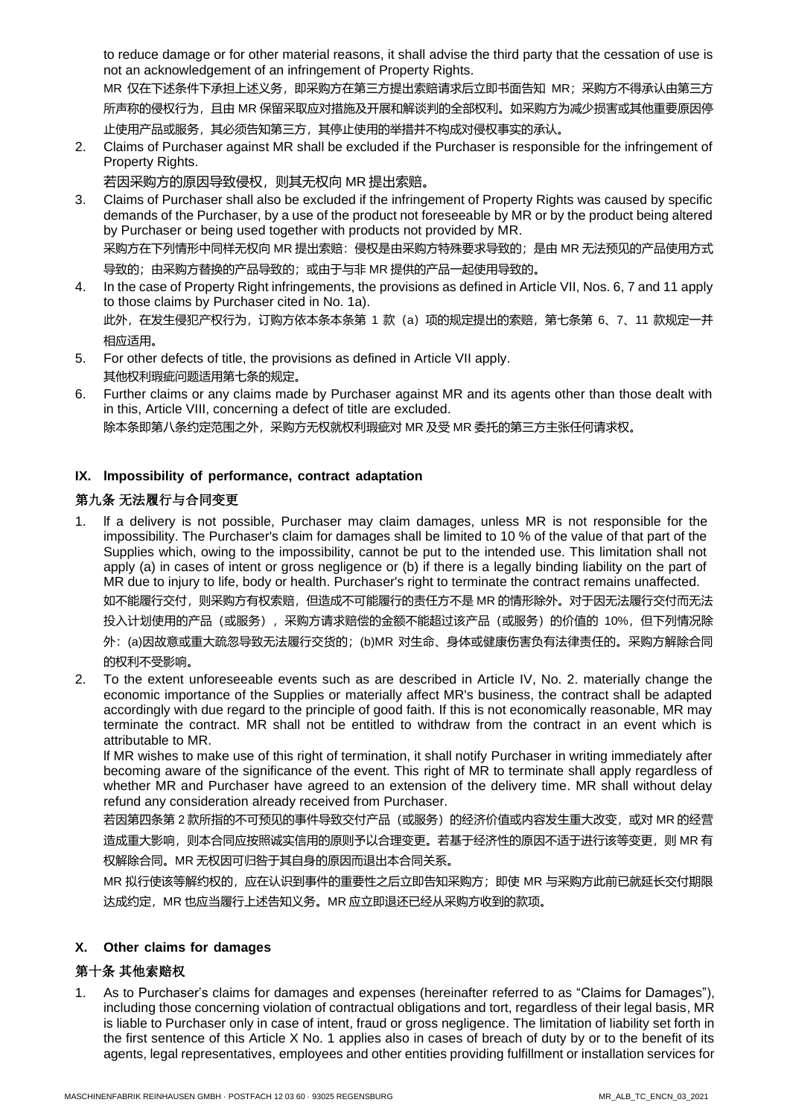to reduce damage or for other material reasons, it shall advise the third party that the cessation of use is not an acknowledgement of an infringement of Property Rights.

MR 仅在下述条件下承担上述义务,即采购方在第三方提出索赔请求后立即书面告知 MR;采购方不得承认由第三方 所声称的侵权行为,且由 MR 保留采取应对措施及开展和解谈判的全部权利。如采购方为减少损害或其他重要原因停 止使用产品或服务,其必须告知第三方,其停止使用的举措并不构成对侵权事实的承认。

2. Claims of Purchaser against MR shall be excluded if the Purchaser is responsible for the infringement of Property Rights.

若因采购方的原因导致侵权,则其无权向 MR 提出索赔。

3. Claims of Purchaser shall also be excluded if the infringement of Property Rights was caused by specific demands of the Purchaser, by a use of the product not foreseeable by MR or by the product being altered by Purchaser or being used together with products not provided by MR. 采购方在下列情形中同样无权向 MR 提出索赔:侵权是由采购方特殊要求导致的;是由 MR 无法预见的产品使用方式

导致的;由采购方替换的产品导致的;或由于与非 MR 提供的产品一起使用导致的。

- 4. In the case of Property Right infringements, the provisions as defined in Article VII, Nos. 6, 7 and 11 apply to those claims by Purchaser cited in No. 1a). 此外, 在发生侵犯产权行为, 订购方依本条本条第 1 款 (a) 项的规定提出的索赔, 第七条第 6、7、11 款规定一并 相应适用。
- 5. For other defects of title, the provisions as defined in Article VII apply. 其他权利瑕疵问题适用第七条的规定。
- 6. Further claims or any claims made by Purchaser against MR and its agents other than those dealt with in this, Article VIII, concerning a defect of title are excluded. 除本条即第八条约定范围之外,采购方无权就权利瑕疵对 MR 及受 MR 委托的第三方主张任何请求权。

### **IX. lmpossibility of performance, contract adaptation**

# 第九条 无法履行与合同变更

- 1. lf a delivery is not possible, Purchaser may claim damages, unless MR is not responsible for the impossibility. The Purchaser's claim for damages shall be limited to 10 % of the value of that part of the Supplies which, owing to the impossibility, cannot be put to the intended use. This limitation shall not apply (a) in cases of intent or gross negligence or (b) if there is a legally binding liability on the part of MR due to injury to life, body or health. Purchaser's right to terminate the contract remains unaffected. 如不能履行交付,则采购方有权索赔,但造成不可能履行的责任方不是 MR 的情形除外。对于因无法履行交付而无法 投入计划使用的产品(或服务),采购方请求赔偿的金额不能超过该产品(或服务)的价值的 10%,但下列情况除 外:(a)因故意或重大疏忽导致无法履行交货的;(b)MR 对生命、身体或健康伤害负有法律责任的。采购方解除合同 的权利不受影响。
- 2. To the extent unforeseeable events such as are described in Article IV, No. 2. materially change the economic importance of the Supplies or materially affect MR's business, the contract shall be adapted accordingly with due regard to the principle of good faith. If this is not economically reasonable, MR may terminate the contract. MR shall not be entitled to withdraw from the contract in an event which is attributable to MR.

lf MR wishes to make use of this right of termination, it shall notify Purchaser in writing immediately after becoming aware of the significance of the event. This right of MR to terminate shall apply regardless of whether MR and Purchaser have agreed to an extension of the delivery time. MR shall without delay refund any consideration already received from Purchaser.

若因第四条第 2 款所指的不可预见的事件导致交付产品(或服务)的经济价值或内容发生重大改变, 或对 MR 的经营 造成重大影响,则本合同应按照诚实信用的原则予以合理变更。若基于经济性的原因不适于进行该等变更, 则 MR 有 权解除合同。MR 无权因可归咎于其自身的原因而退出本合同关系。

MR 拟行使该等解约权的,应在认识到事件的重要性之后立即告知采购方;即使 MR 与采购方此前已就延长交付期限 达成约定,MR 也应当履行上述告知义务。MR 应立即退还已经从采购方收到的款项。

### **X. Other claims for damages**

# 第十条 其他索赔权

1. As to Purchaser's claims for damages and expenses (hereinafter referred to as "Claims for Damages"), including those concerning violation of contractual obligations and tort, regardless of their legal basis, MR is liable to Purchaser only in case of intent, fraud or gross negligence. The limitation of liability set forth in the first sentence of this Article X No. 1 applies also in cases of breach of duty by or to the benefit of its agents, legal representatives, employees and other entities providing fulfillment or installation services for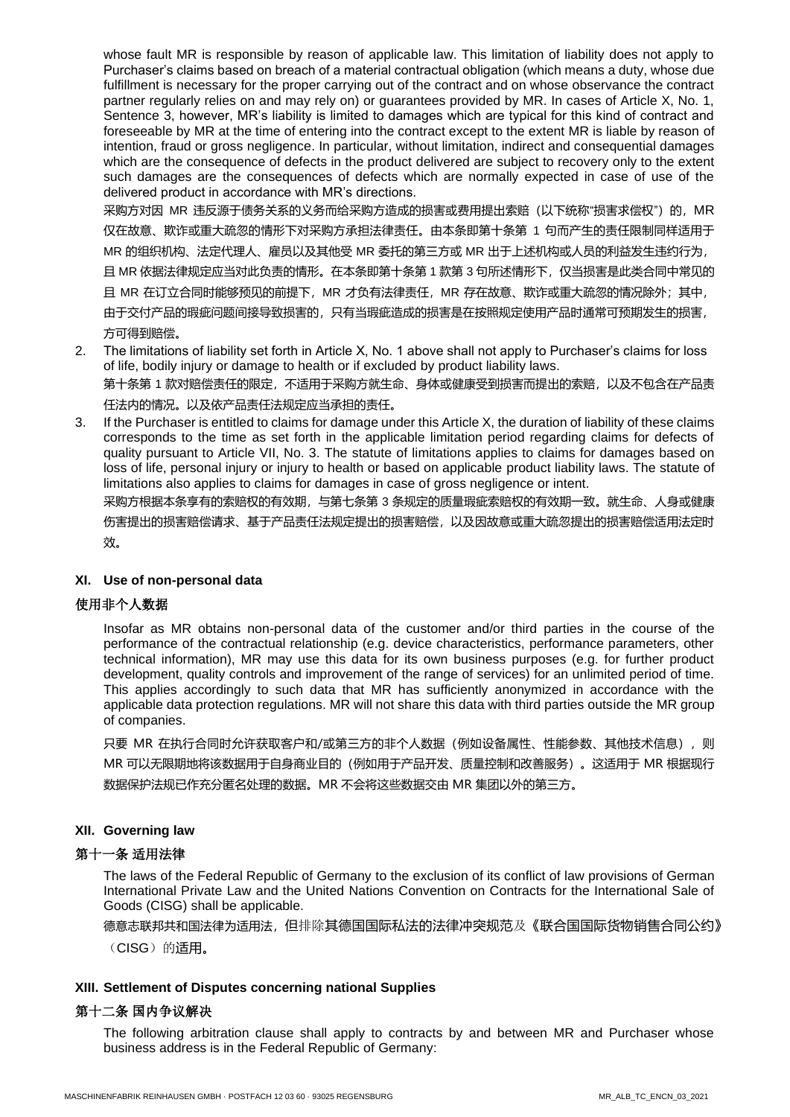whose fault MR is responsible by reason of applicable law. This limitation of liability does not apply to Purchaser's claims based on breach of a material contractual obligation (which means a duty, whose due fulfillment is necessary for the proper carrying out of the contract and on whose observance the contract partner regularly relies on and may rely on) or guarantees provided by MR. In cases of Article X, No. 1, Sentence 3, however, MR's liability is limited to damages which are typical for this kind of contract and foreseeable by MR at the time of entering into the contract except to the extent MR is liable by reason of intention, fraud or gross negligence. In particular, without limitation, indirect and consequential damages which are the consequence of defects in the product delivered are subject to recovery only to the extent such damages are the consequences of defects which are normally expected in case of use of the delivered product in accordance with MR's directions.

采购方对因 MR 违反源于债务关系的义务而给采购方造成的损害或费用提出索赔(以下统称"损害求偿权")的, MR 仅在故意、欺诈或重大疏忽的情形下对采购方承担法律责任。由本条即第十条第 1 句而产生的责任限制同样适用于 MR 的组织机构、法定代理人、雇员以及其他受 MR 委托的第三方或 MR 出于上述机构或人员的利益发生违约行为, 且 MR 依据法律规定应当对此负责的情形。在本条即第十条第 1 款第 3 句所述情形下,仅当损害是此类合同中常见的 且 MR 在订立合同时能够预见的前提下,MR 才负有法律责任,MR 存在故意、欺诈或重大疏忽的情况除外;其中, 由于交付产品的瑕疵问题间接导致损害的,只有当瑕疵造成的损害是在按照规定使用产品时通常可预期发生的损害, 方可得到赔偿。

- 2. The limitations of liability set forth in Article X, No. 1 above shall not apply to Purchaser's claims for loss of life, bodily injury or damage to health or if excluded by product liability laws. 第十条第 1 款对赔偿责任的限定,不适用于采购方就生命、身体或健康受到损害而提出的索赔,以及不包含在产品责 任法内的情况。以及依产品责任法规定应当承担的责任。
- 3. If the Purchaser is entitled to claims for damage under this Article X, the duration of liability of these claims corresponds to the time as set forth in the applicable limitation period regarding claims for defects of quality pursuant to Article VII, No. 3. The statute of limitations applies to claims for damages based on loss of life, personal injury or injury to health or based on applicable product liability laws. The statute of limitations also applies to claims for damages in case of gross negligence or intent.

采购方根据本条享有的索赔权的有效期,与第七条第 3 条规定的质量瑕疵索赔权的有效期一致。就生命、人身或健康 伤害提出的损害赔偿请求、基于产品责任法规定提出的损害赔偿,以及因故意或重大疏忽提出的损害赔偿适用法定时 效。

### **XI. Use of non-personal data**

### 使用非个人数据

Insofar as MR obtains non-personal data of the customer and/or third parties in the course of the performance of the contractual relationship (e.g. device characteristics, performance parameters, other technical information), MR may use this data for its own business purposes (e.g. for further product development, quality controls and improvement of the range of services) for an unlimited period of time. This applies accordingly to such data that MR has sufficiently anonymized in accordance with the applicable data protection regulations. MR will not share this data with third parties outside the MR group of companies.

只要 MR 在执行合同时允许获取客户和/或第三方的非个人数据(例如设备属性、性能参数、其他技术信息),则 MR 可以无限期地将该数据用于自身商业目的(例如用于产品开发、质量控制和改善服务)。这适用于 MR 根据现行 数据保护法规已作充分匿名处理的数据。MR 不会将这些数据交由 MR 集团以外的第三方。

### **XII. Governing law**

### 第十一条 适用法律

The laws of the Federal Republic of Germany to the exclusion of its conflict of law provisions of German International Private Law and the United Nations Convention on Contracts for the International Sale of Goods (CISG) shall be applicable.

德意志联邦共和国法律为适用法,但排除其德国国际私法的法律冲突规范及《联合国国际货物销售合同公约》

(CISG)的适用。

### **XIII. Settlement of Disputes concerning national Supplies**

### 第十二条 国内争议解决

The following arbitration clause shall apply to contracts by and between MR and Purchaser whose business address is in the Federal Republic of Germany: